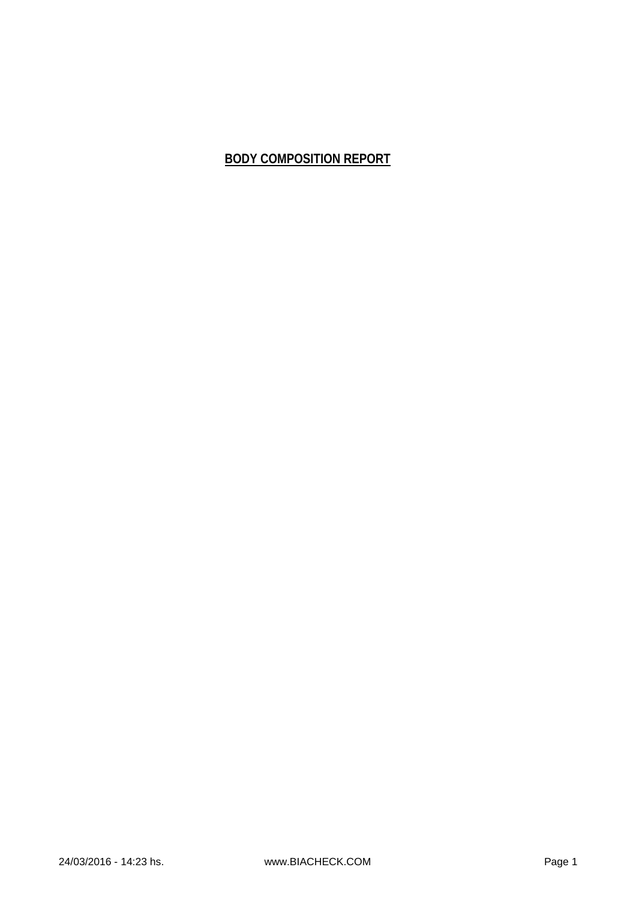## **BODY COMPOSITION REPORT**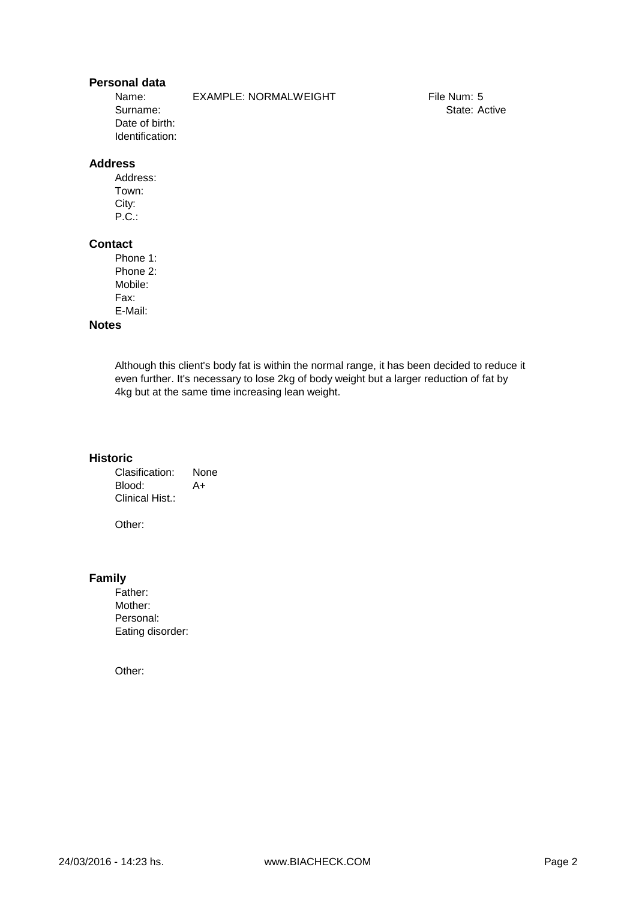## **Personal data**

Surname: Date of birth: Identification:

Name: EXAMPLE: NORMALWEIGHT

File Num: 5 State: Active

## **Address**

Address: Town: City: P.C.:

### **Contact**

Phone 1: Phone 2: Mobile: Fax: E-Mail:

## **Notes**

Although this client's body fat is within the normal range, it has been decided to reduce it even further. It's necessary to lose 2kg of body weight but a larger reduction of fat by 4kg but at the same time increasing lean weight.

#### **Historic**

Clasification: None Blood: A+ Clinical Hist.:

Other:

#### **Family**

Father: Mother: Personal: Eating disorder:

Other: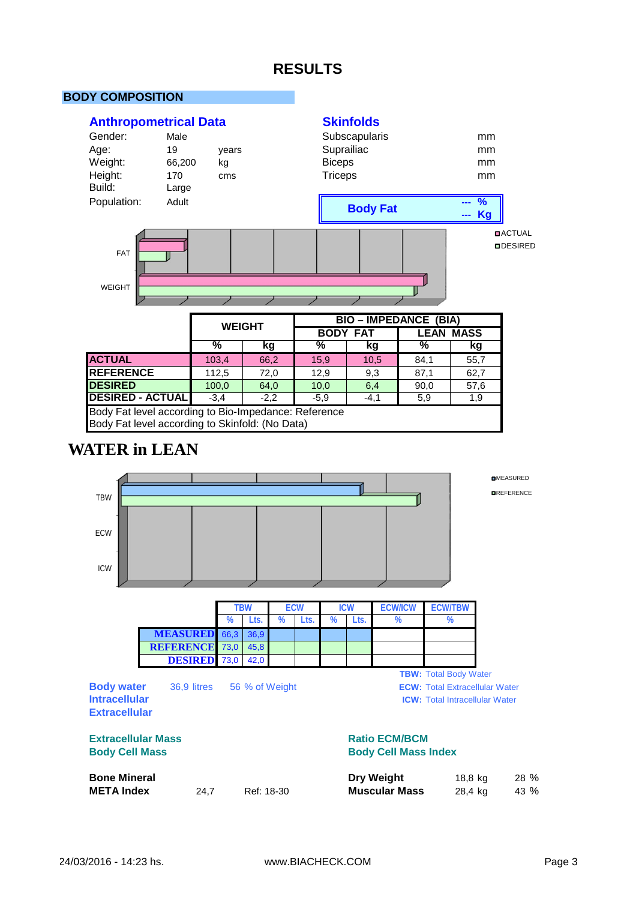# **RESULTS**

**Skinfolds**

## **BODY COMPOSITION**

## **Anthropometrical Data**



|                                                      | %      | kg     | %      | kg     | %    | kg   |
|------------------------------------------------------|--------|--------|--------|--------|------|------|
| <b>ACTUAL</b>                                        | 103.4  | 66,2   | 15.9   | 10.5   | 84.1 | 55,7 |
| <b>REFERENCE</b>                                     | 112,5  | 72,0   | 12,9   | 9,3    | 87,1 | 62,7 |
| <b>DESIRED</b>                                       | 100.0  | 64,0   | 10,0   | 6,4    | 90,0 | 57,6 |
| <b>DESIRED - ACTUAL</b>                              | $-3.4$ | $-2.2$ | $-5.9$ | $-4,1$ | 5,9  | 1,9  |
| Body Fat level according to Bio-Impedance: Reference |        |        |        |        |      |      |
| Body Fat level according to Skinfold: (No Data)      |        |        |        |        |      |      |

# **WATER in LEAN**

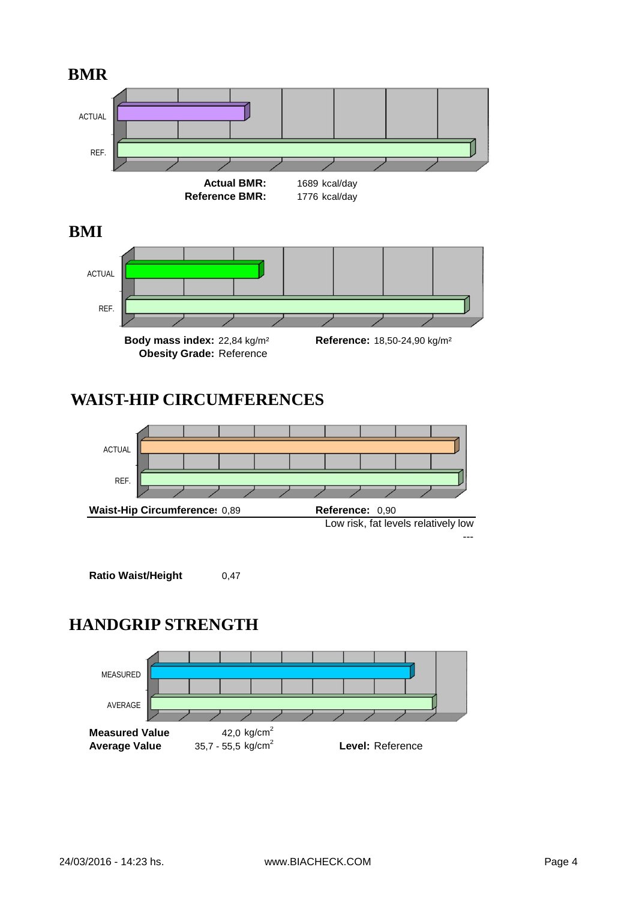

# **WAIST-HIP CIRCUMFERENCES**



# **HANDGRIP STRENGTH**

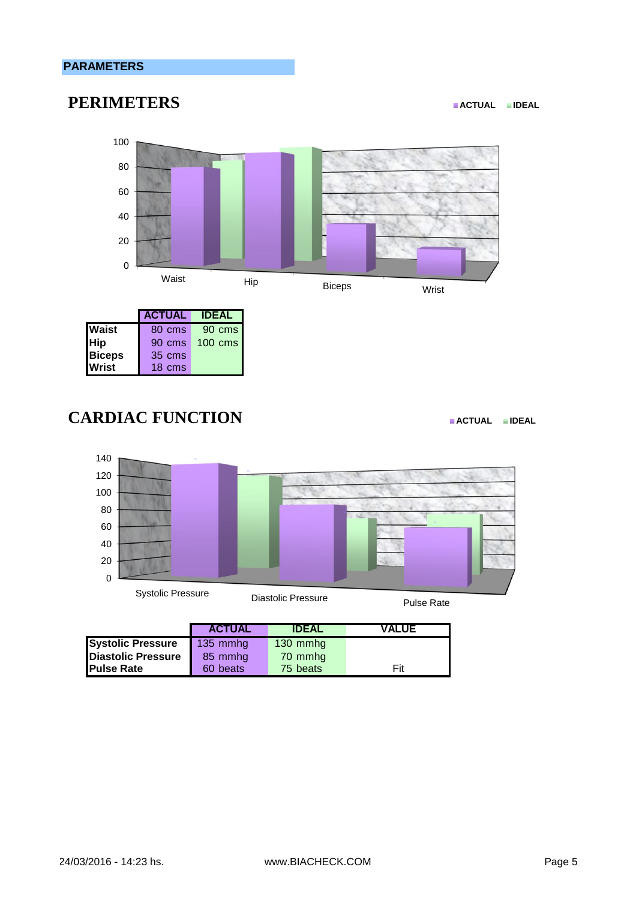## **PARAMETERS**

# **PERIMETERS EXECUTERS**



|               | <b>ACTUAL</b> | <b>IDEAL</b>       |
|---------------|---------------|--------------------|
| <b>Waist</b>  | 80 cms        | 90 cms             |
| <b>Hip</b>    | 90 cms        | $100 \text{ cm}$ s |
| <b>Biceps</b> | 35 cms        |                    |
| <b>Wrist</b>  | 18 cms        |                    |

# **CARDIAC FUNCTION EXECUTED PACTUAL**



|                           | <b>ACTUAL</b>     | <b>IDEAL</b>        | <b>VALUE</b> |
|---------------------------|-------------------|---------------------|--------------|
| <b>Systolic Pressure</b>  | $\sqrt{135}$ mmhg | $130 \text{ mm}$ hg |              |
| <b>Diastolic Pressure</b> | 85 mmhg           | 70 mmhq             |              |
| <b>Pulse Rate</b>         | 60 beats          | 75 beats            | Fit          |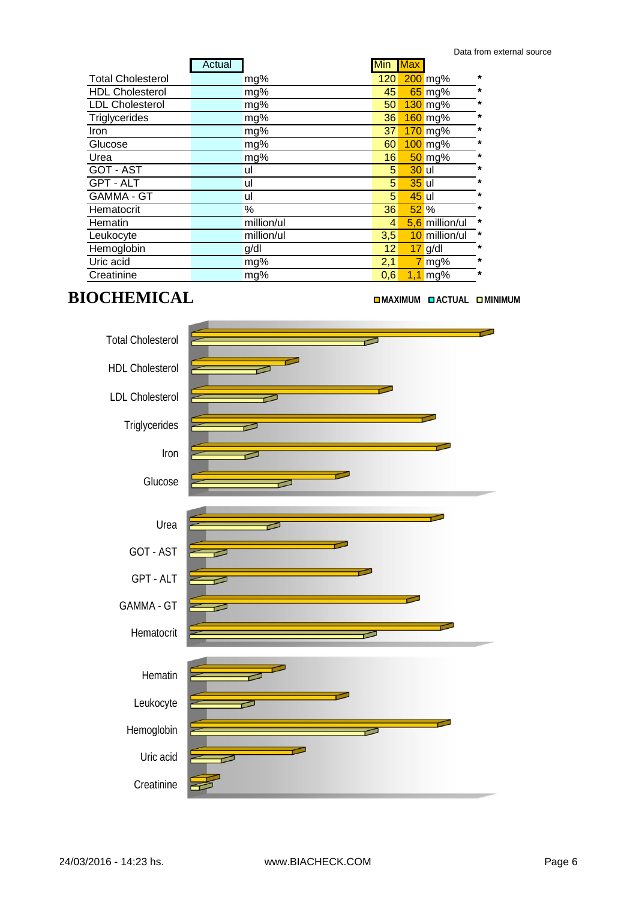| *<br>200 mg%<br><b>Total Cholesterol</b><br>120<br>mg%<br>$\star$<br><b>HDL Cholesterol</b><br>65 mg%<br>45<br>mg%<br>$\star$<br><b>LDL Cholesterol</b><br>$130$ mg%<br>50<br>mg%<br>*<br>Triglycerides<br>160 mg%<br>mg%<br>36<br>$\star$<br>$170$ mg%<br>mg%<br>Iron<br>37<br>$\star$<br>100 mg%<br>Glucose<br>mg%<br>60<br>$\star$<br>$50$ mg%<br>Urea<br>16<br>mg%<br><b>GOT - AST</b><br>$\star$<br><b>30</b> ul<br>5 <sup>1</sup><br>ul<br>GPT - ALT<br>$\star$<br>$35$ ul<br>5<br>ul<br><b>GAMMA - GT</b><br>$\star$<br>5<br>45 ul<br>ul<br>$\star$<br>%<br>52%<br>36<br>Hematocrit<br>$\ast$<br>million/ul<br>5,6 million/ul<br>Hematin<br>4<br>10 million/ul<br>$\star$<br>million/ul<br>Leukocyte<br>3,5<br>$\star$<br>Hemoglobin<br>12<br>$17$ g/dl<br>g/dl<br>Uric acid<br>$\star$<br>2,1<br>$7$ mg%<br>mg%<br>$\star$<br>Creatinine<br>$1,1$ mg%<br>mg%<br>0,6 | Actual | Min Max |  |  |
|-----------------------------------------------------------------------------------------------------------------------------------------------------------------------------------------------------------------------------------------------------------------------------------------------------------------------------------------------------------------------------------------------------------------------------------------------------------------------------------------------------------------------------------------------------------------------------------------------------------------------------------------------------------------------------------------------------------------------------------------------------------------------------------------------------------------------------------------------------------------------------|--------|---------|--|--|
|                                                                                                                                                                                                                                                                                                                                                                                                                                                                                                                                                                                                                                                                                                                                                                                                                                                                             |        |         |  |  |
|                                                                                                                                                                                                                                                                                                                                                                                                                                                                                                                                                                                                                                                                                                                                                                                                                                                                             |        |         |  |  |
|                                                                                                                                                                                                                                                                                                                                                                                                                                                                                                                                                                                                                                                                                                                                                                                                                                                                             |        |         |  |  |
|                                                                                                                                                                                                                                                                                                                                                                                                                                                                                                                                                                                                                                                                                                                                                                                                                                                                             |        |         |  |  |
|                                                                                                                                                                                                                                                                                                                                                                                                                                                                                                                                                                                                                                                                                                                                                                                                                                                                             |        |         |  |  |
|                                                                                                                                                                                                                                                                                                                                                                                                                                                                                                                                                                                                                                                                                                                                                                                                                                                                             |        |         |  |  |
|                                                                                                                                                                                                                                                                                                                                                                                                                                                                                                                                                                                                                                                                                                                                                                                                                                                                             |        |         |  |  |
|                                                                                                                                                                                                                                                                                                                                                                                                                                                                                                                                                                                                                                                                                                                                                                                                                                                                             |        |         |  |  |
|                                                                                                                                                                                                                                                                                                                                                                                                                                                                                                                                                                                                                                                                                                                                                                                                                                                                             |        |         |  |  |
|                                                                                                                                                                                                                                                                                                                                                                                                                                                                                                                                                                                                                                                                                                                                                                                                                                                                             |        |         |  |  |
|                                                                                                                                                                                                                                                                                                                                                                                                                                                                                                                                                                                                                                                                                                                                                                                                                                                                             |        |         |  |  |
|                                                                                                                                                                                                                                                                                                                                                                                                                                                                                                                                                                                                                                                                                                                                                                                                                                                                             |        |         |  |  |
|                                                                                                                                                                                                                                                                                                                                                                                                                                                                                                                                                                                                                                                                                                                                                                                                                                                                             |        |         |  |  |
|                                                                                                                                                                                                                                                                                                                                                                                                                                                                                                                                                                                                                                                                                                                                                                                                                                                                             |        |         |  |  |
|                                                                                                                                                                                                                                                                                                                                                                                                                                                                                                                                                                                                                                                                                                                                                                                                                                                                             |        |         |  |  |
|                                                                                                                                                                                                                                                                                                                                                                                                                                                                                                                                                                                                                                                                                                                                                                                                                                                                             |        |         |  |  |

# **BIOCHEMICAL EXISTENTICAL EXISTENT CONSUMING ACTUAL EMINIMUM**

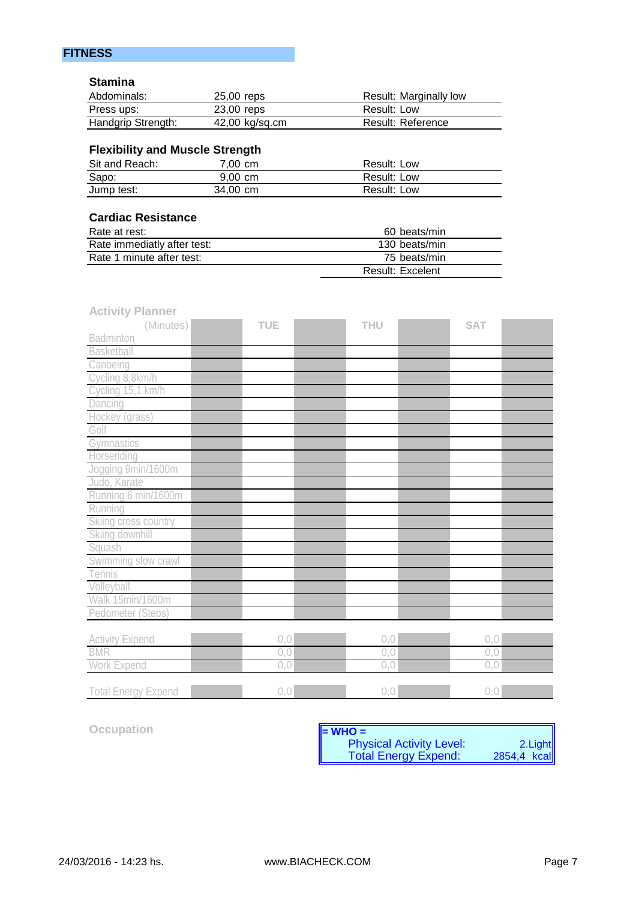## **FITNESS**

## **Stamina**

| Abdominals:        | 25,00 reps     | Result: Marginally low |
|--------------------|----------------|------------------------|
| Press ups:         | 23,00 reps     | Result: Low            |
| Handgrip Strength: | 42,00 kg/sq.cm | Result: Reference      |

## **Flexibility and Muscle Strength**

| Sit and Reach: | 7.00 cm           | Result: Low |
|----------------|-------------------|-------------|
| Sapo:          | $9.00 \text{ cm}$ | Result: Low |
| Jump test:     | 34,00 cm          | Result: Low |

## **Cardiac Resistance**

| Rate at rest:               | 60 beats/min            |
|-----------------------------|-------------------------|
| Rate immediatly after test: | 130 beats/min           |
| Rate 1 minute after test:   | 75 beats/min            |
|                             | <b>Result: Excelent</b> |

| <b>Activity Planner</b>    |            |      |            |      |
|----------------------------|------------|------|------------|------|
| (Minutes)                  | <b>TUE</b> | THU  | <b>SAT</b> |      |
| Badminton                  |            |      |            |      |
| <b>Basketball</b>          |            |      |            |      |
| Canoeing                   |            |      |            |      |
| Cycling 8,8km/h            |            |      |            |      |
| Cycling 15,1 km/h          |            |      |            |      |
| Dancing                    |            |      |            |      |
| Hockey (grass)             |            |      |            |      |
| Golf                       |            |      |            |      |
| Gymnastics                 |            |      |            |      |
| Horseriding                |            |      |            |      |
| Jogging 9min/1600m         |            |      |            |      |
| Judo, Karate               |            |      |            |      |
| Running 6 min/1600m        |            |      |            |      |
| Running                    |            |      |            |      |
| Skiing cross country       |            |      |            |      |
| Skiing downhill            |            |      |            |      |
| Squash                     |            |      |            |      |
| Swimming slow crawl        |            |      |            |      |
| Tennis                     |            |      |            |      |
| Volleyball                 |            |      |            |      |
| Walk 15min/1600m           |            |      |            |      |
| Pedometer (Steps)          |            |      |            |      |
|                            |            |      |            |      |
| <b>Activity Expend</b>     | 0,0        | 0, 0 |            | 0, 0 |
| <b>BMR</b>                 | 0, 0       | 0, 0 |            | 0, 0 |
| Work Expend                | 0,0        | 0, 0 |            | 0.0  |
| <b>Total Energy Expend</b> | 0,0        | 0, 0 |            | 0, 0 |

**Occupation** 

| $\vert$ = WHO =                 |                        |
|---------------------------------|------------------------|
| <b>Physical Activity Level:</b> |                        |
| <b>Total Energy Expend:</b>     | 2.Light<br>2854,4 kcal |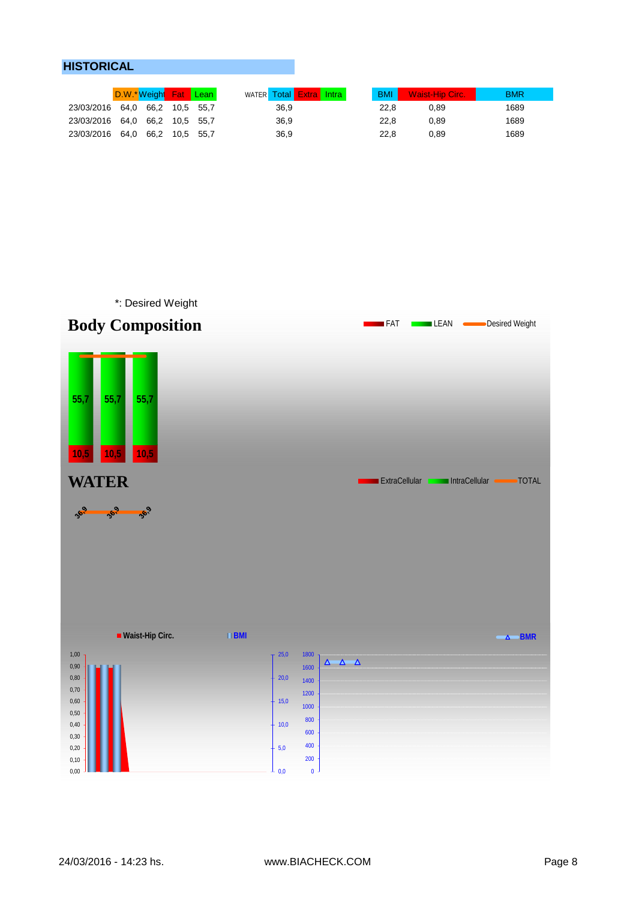## **HISTORICAL**

|                                | D.W.*Weight Fat Lean |  | <b>WATER Total Extra Intra</b> | <b>BMI</b> | <b>Waist-Hip Circ.</b> | <b>BMR</b> |
|--------------------------------|----------------------|--|--------------------------------|------------|------------------------|------------|
| 23/03/2016 64.0 66.2 10.5 55.7 |                      |  | 36,9                           | 22.8       | 0.89                   | 1689       |
| 23/03/2016 64.0 66.2 10.5 55.7 |                      |  | 36,9                           | 22.8       | 0.89                   | 1689       |
| 23/03/2016 64.0 66.2 10.5 55.7 |                      |  | 36,9                           | 22.8       | 0.89                   | 1689       |

\*: Desired Weight

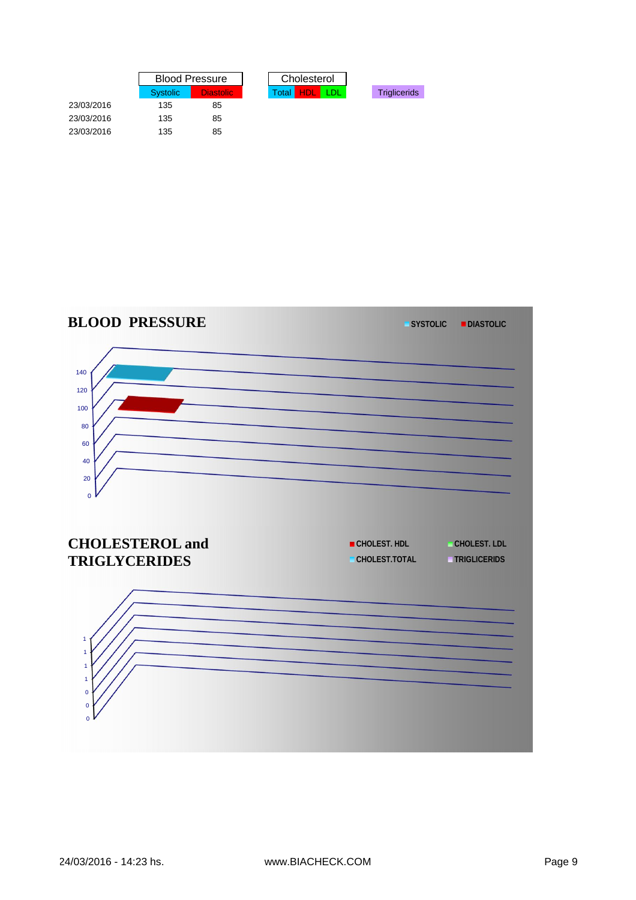|            | <b>Blood Pressure</b> |           | Cholesterol  |             |     |                     |
|------------|-----------------------|-----------|--------------|-------------|-----|---------------------|
|            | <b>Systolic</b>       | Diastolic | <b>Total</b> | <b>THDL</b> | TDL | <b>Triglicerids</b> |
| 23/03/2016 | 135                   | 85        |              |             |     |                     |
| 23/03/2016 | 135                   | 85        |              |             |     |                     |
| 23/03/2016 | 135                   | 85        |              |             |     |                     |

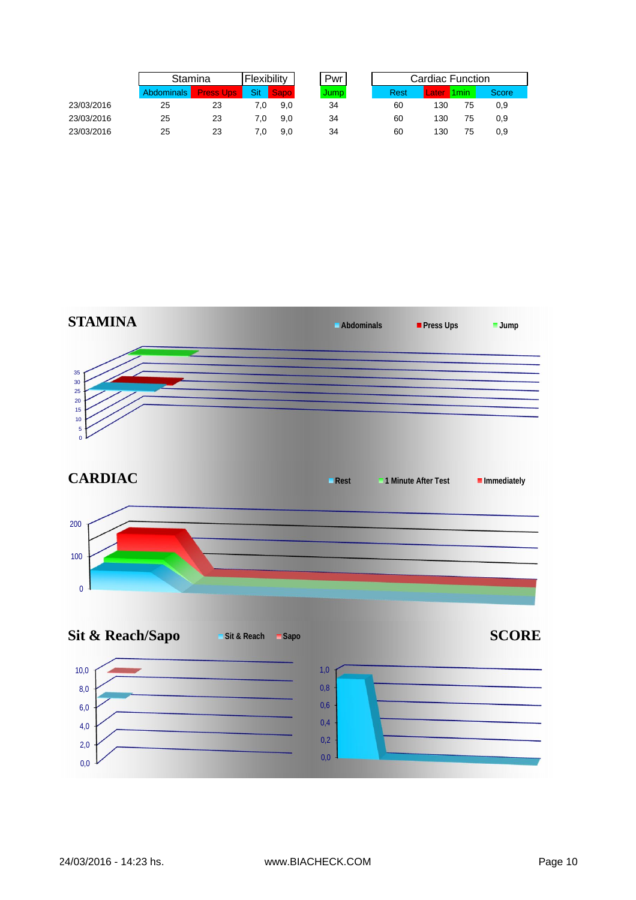|            |                   | Stamina          |     | Flexibility       |       | Cardiac Function |       |        |       |
|------------|-------------------|------------------|-----|-------------------|-------|------------------|-------|--------|-------|
|            | <b>Abdominals</b> | <b>Press Ups</b> | Sit | Sapo <sub>1</sub> | Jump. | <b>Rest</b>      | Later | l 1min | Score |
| 23/03/2016 | 25                | 23               |     | 9.0               | 34    | 60               | 130   | 75     | 0,9   |
| 23/03/2016 | 25                | 23               | 7.0 | 9.0               | 34    | 60               | 130   | 75     | 0,9   |
| 23/03/2016 | 25                | 23               |     | 9.0               | 34    | 60               | 130   | 75     | 0,9   |

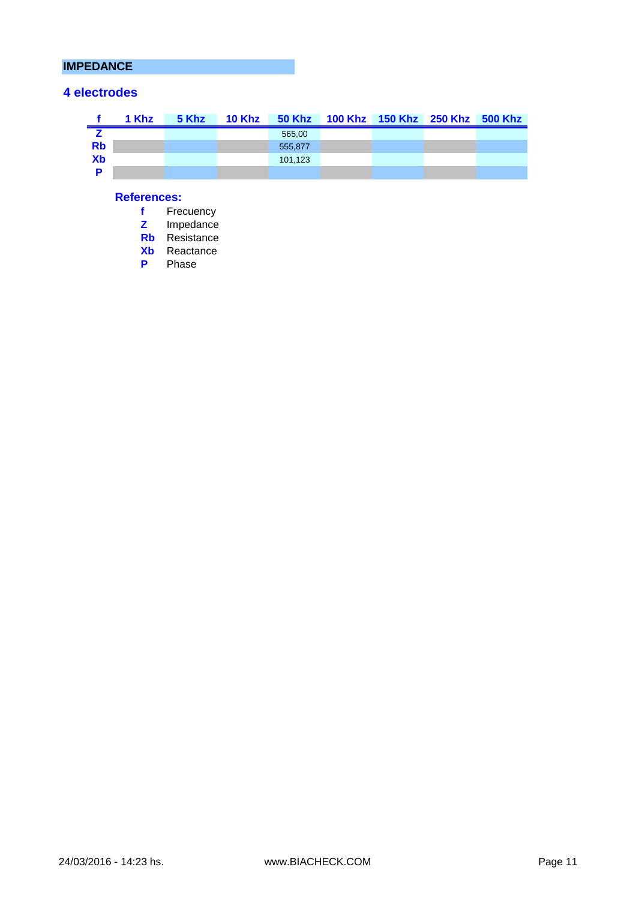## **IMPEDANCE**

## **4 electrodes**

|           | 1 Khz |  |         | 5 Khz 10 Khz 50 Khz 100 Khz 150 Khz 250 Khz 500 Khz |  |  |
|-----------|-------|--|---------|-----------------------------------------------------|--|--|
|           |       |  | 565,00  |                                                     |  |  |
| <b>Rb</b> |       |  | 555.877 |                                                     |  |  |
| Xb        |       |  | 101.123 |                                                     |  |  |
|           |       |  |         |                                                     |  |  |

## **References:**

| f  | Frecuencv  |
|----|------------|
| z  | Impedance  |
| Rb | Resistance |
| Хb | Reactance  |
| P  | Phase      |